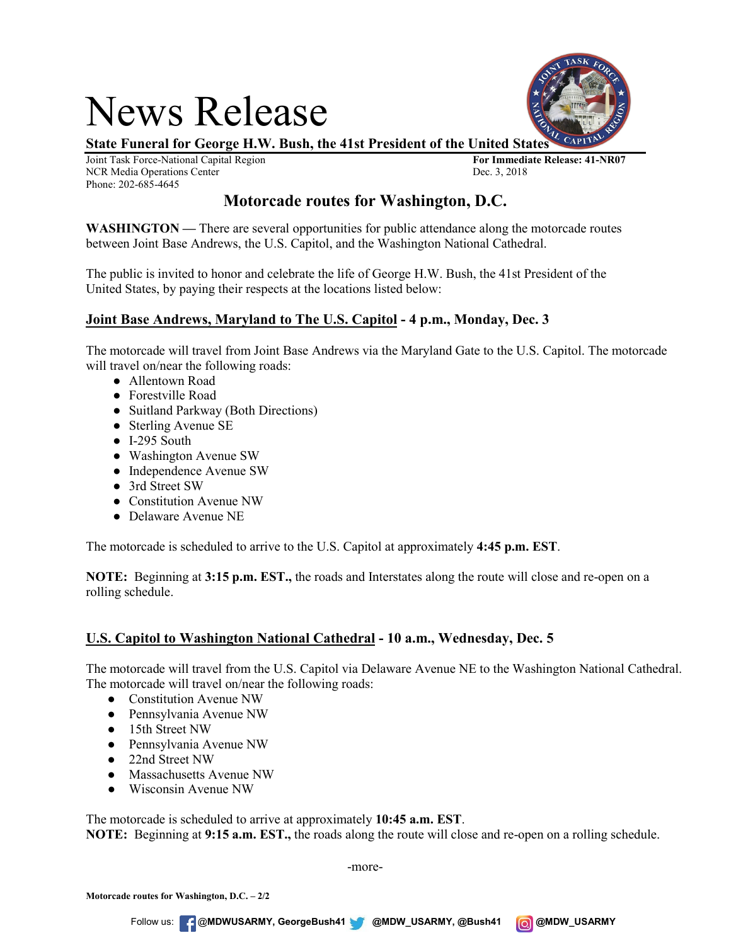# News Release



**State Funeral for George H.W. Bush, the 41st President of the United States**

Joint Task Force-National Capital Region **For Immediate Release: 41-NR07** NCR Media Operations Center Phone: 202-685-4645

## **Motorcade routes for Washington, D.C.**

**WASHINGTON —** There are several opportunities for public attendance along the motorcade routes between Joint Base Andrews, the U.S. Capitol, and the Washington National Cathedral.

The public is invited to honor and celebrate the life of George H.W. Bush, the 41st President of the United States, by paying their respects at the locations listed below:

### **Joint Base Andrews, Maryland to The U.S. Capitol - 4 p.m., Monday, Dec. 3**

The motorcade will travel from Joint Base Andrews via the Maryland Gate to the U.S. Capitol. The motorcade will travel on/near the following roads:

- Allentown Road
- Forestville Road
- Suitland Parkway (Both Directions)
- Sterling Avenue SE
- I-295 South
- Washington Avenue SW
- Independence Avenue SW
- 3rd Street SW
- Constitution Avenue NW
- Delaware Avenue NE

The motorcade is scheduled to arrive to the U.S. Capitol at approximately **4:45 p.m. EST**.

**NOTE:** Beginning at **3:15 p.m. EST.,** the roads and Interstates along the route will close and re-open on a rolling schedule.

### **U.S. Capitol to Washington National Cathedral - 10 a.m., Wednesday, Dec. 5**

The motorcade will travel from the U.S. Capitol via Delaware Avenue NE to the Washington National Cathedral. The motorcade will travel on/near the following roads:

- Constitution Avenue NW
- Pennsylvania Avenue NW
- 15th Street NW
- Pennsylvania Avenue NW
- 22nd Street NW
- Massachusetts Avenue NW
- Wisconsin Avenue NW

The motorcade is scheduled to arrive at approximately **10:45 a.m. EST**.

**NOTE:** Beginning at **9:15 a.m. EST.,** the roads along the route will close and re-open on a rolling schedule.

-more-

Follow us: @**MDWUSARMY, GeorgeBush41 @MDW\_USARMY, @Bush41 @MDW\_USARMY**